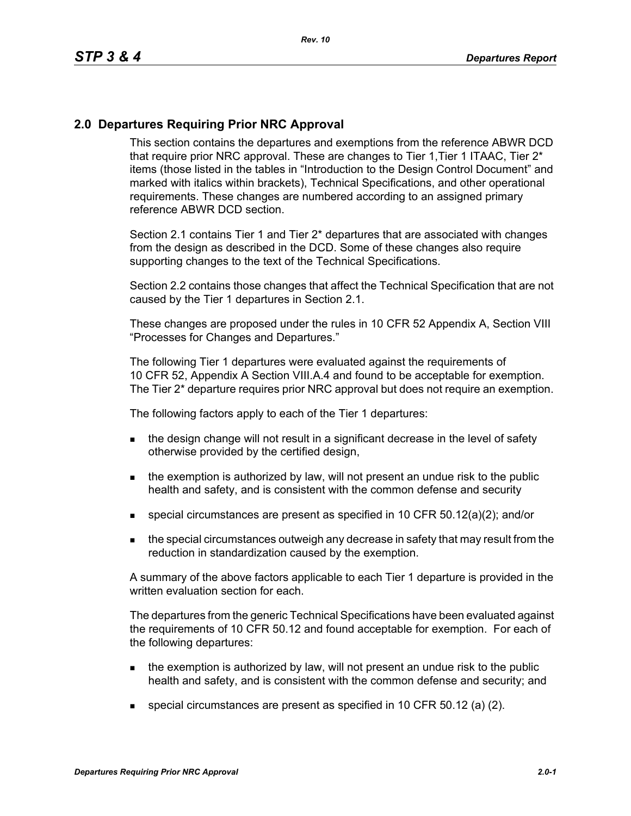## **2.0 Departures Requiring Prior NRC Approval**

This section contains the departures and exemptions from the reference ABWR DCD that require prior NRC approval. These are changes to Tier 1, Tier 1 ITAAC, Tier 2<sup>\*</sup> items (those listed in the tables in "Introduction to the Design Control Document" and marked with italics within brackets), Technical Specifications, and other operational requirements. These changes are numbered according to an assigned primary reference ABWR DCD section.

Section 2.1 contains Tier 1 and Tier 2\* departures that are associated with changes from the design as described in the DCD. Some of these changes also require supporting changes to the text of the Technical Specifications.

Section 2.2 contains those changes that affect the Technical Specification that are not caused by the Tier 1 departures in Section 2.1.

These changes are proposed under the rules in 10 CFR 52 Appendix A, Section VIII "Processes for Changes and Departures."

The following Tier 1 departures were evaluated against the requirements of 10 CFR 52, Appendix A Section VIII.A.4 and found to be acceptable for exemption. The Tier 2\* departure requires prior NRC approval but does not require an exemption.

The following factors apply to each of the Tier 1 departures:

- the design change will not result in a significant decrease in the level of safety otherwise provided by the certified design,
- $\blacksquare$  the exemption is authorized by law, will not present an undue risk to the public health and safety, and is consistent with the common defense and security
- special circumstances are present as specified in 10 CFR 50.12(a)(2); and/or
- **the special circumstances outweigh any decrease in safety that may result from the** reduction in standardization caused by the exemption.

A summary of the above factors applicable to each Tier 1 departure is provided in the written evaluation section for each.

The departures from the generic Technical Specifications have been evaluated against the requirements of 10 CFR 50.12 and found acceptable for exemption. For each of the following departures:

- $\blacksquare$  the exemption is authorized by law, will not present an undue risk to the public health and safety, and is consistent with the common defense and security; and
- special circumstances are present as specified in 10 CFR 50.12 (a) (2).